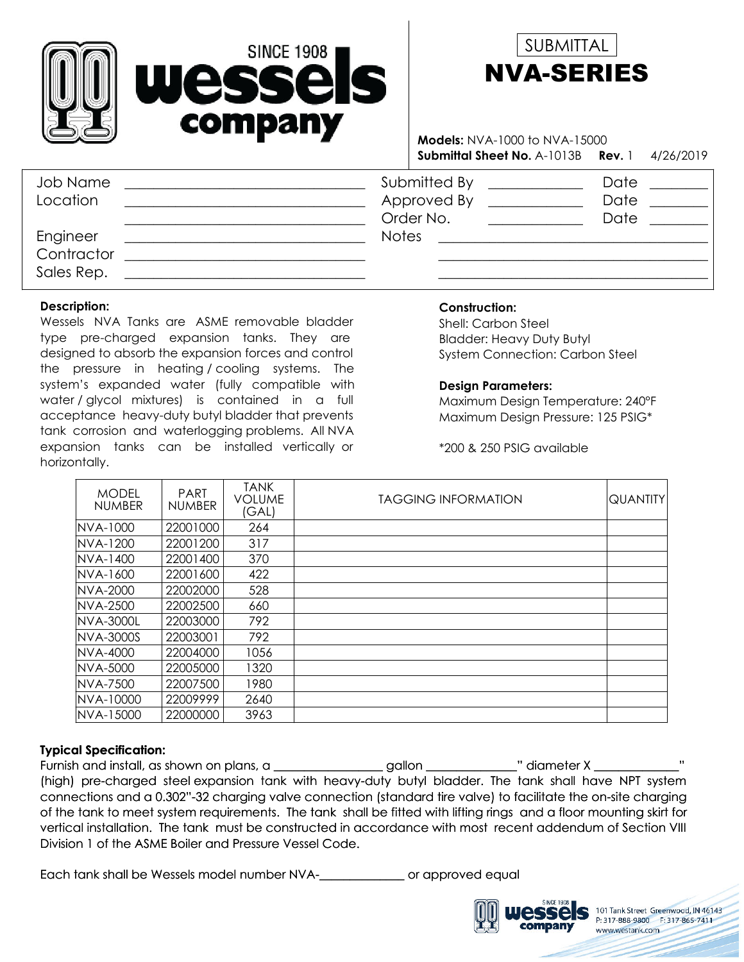



 1 4/26/2019 **Submittal Sheet No.** A-1013B **Models:** NVA-1000 to NVA-15000 **Rev.**

| Job Name<br>Location | Submitted By<br>Approved By<br>Order No. | Date<br>Date<br>Date |
|----------------------|------------------------------------------|----------------------|
| Engineer             | <b>Notes</b>                             |                      |
| Contractor           |                                          |                      |
| Sales Rep.           |                                          |                      |

#### **Description:**

Wessels NVA Tanks are ASME removable bladder type pre-charged expansion tanks. They are designed to absorb the expansion forces and control the pressure in heating / cooling systems. The system's expanded water (fully compatible with water / glycol mixtures) is contained in a full acceptance heavy-duty butyl bladder that prevents tank corrosion and waterlogging problems. All NVA expansion tanks can be installed vertically or horizontally.

### **Construction:**

Bladder: Heavy Duty Butyl System Connection: Carbon Steel Shell: Carbon Steel

#### **Design Parameters:**

Maximum Design Pressure: 125 PSIG\* Maximum Design Temperature: 240°F

\*200 & 250 PSIG available

| <b>MODEL</b><br><b>NUMBER</b> | <b>PART</b><br><b>NUMBER</b> | <b>TANK</b><br><b>VOLUME</b><br>(GAL) | <b>TAGGING INFORMATION</b> | <b>QUANTITY</b> |
|-------------------------------|------------------------------|---------------------------------------|----------------------------|-----------------|
| NVA-1000                      | 22001000                     | 264                                   |                            |                 |
| <b>INVA-1200</b>              | 22001200                     | 317                                   |                            |                 |
| <b>INVA-1400</b>              | 22001400                     | 370                                   |                            |                 |
| <b>INVA-1600</b>              | 22001600                     | 422                                   |                            |                 |
| <b>INVA-2000</b>              | 22002000                     | 528                                   |                            |                 |
| <b>INVA-2500</b>              | 22002500                     | 660                                   |                            |                 |
| <b>NVA-3000L</b>              | 22003000                     | 792                                   |                            |                 |
| <b>INVA-3000S</b>             | 22003001                     | 792                                   |                            |                 |
| <b>INVA-4000</b>              | 22004000                     | 1056                                  |                            |                 |
| NVA-5000                      | 22005000                     | 1320                                  |                            |                 |
| <b>INVA-7500</b>              | 22007500                     | 1980                                  |                            |                 |
| NVA-10000                     | 22009999                     | 2640                                  |                            |                 |
| NVA-15000                     | 22000000                     | 3963                                  |                            |                 |

#### **Typical Specification:**

Furnish and install, as shown on plans, a \_\_\_\_\_\_\_\_\_\_\_\_\_\_\_\_\_gallon \_\_\_\_\_\_\_\_\_\_\_\_\_\_" diameter X \_\_\_\_\_\_\_\_\_\_\_\_\_\_\_\_\_ (high) pre-charged steel expansion tank with heavy-duty butyl bladder. The tank shall have NPT system connections and a 0.302"-32 charging valve connection (standard tire valve) to facilitate the on-site charging of the tank to meet system requirements. The tank shall be fitted with lifting rings and a floor mounting skirt for vertical installation. The tank must be constructed in accordance with most recent addendum of Section VIII Division 1 of the ASME Boiler and Pressure Vessel Code.

Each tank shall be Wessels model number NVA-\_\_\_\_\_\_\_\_\_\_\_\_\_\_ or approved equal